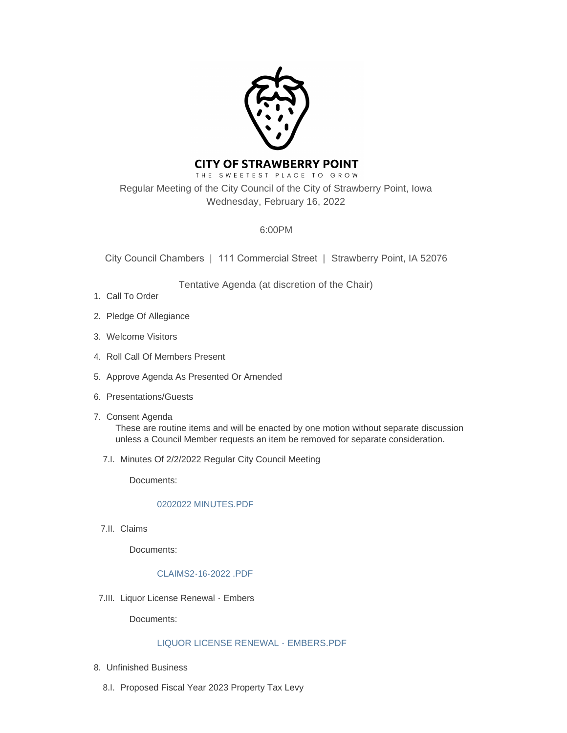

# **CITY OF STRAWBERRY POINT**

THE SWEETEST PLACE TO GROW Regular Meeting of the City Council of the City of Strawberry Point, Iowa Wednesday, February 16, 2022

## 6:00PM

City Council Chambers | 111 Commercial Street | Strawberry Point, IA 52076

Tentative Agenda (at discretion of the Chair)

- 1. Call To Order
- 2. Pledge Of Allegiance
- Welcome Visitors 3.
- 4. Roll Call Of Members Present
- 5. Approve Agenda As Presented Or Amended
- 6. Presentations/Guests
- 7. Consent Agenda These are routine items and will be enacted by one motion without separate discussion unless a Council Member requests an item be removed for separate consideration.
	- 7.I. Minutes Of 2/2/2022 Regular City Council Meeting

Documents:

## [0202022 MINUTES.PDF](http://www.strawberrypt.com/AgendaCenter/ViewFile/Item/571?fileID=488)

7.II. Claims

Documents:

## [CLAIMS2-16-2022 .PDF](http://www.strawberrypt.com/AgendaCenter/ViewFile/Item/570?fileID=495)

7.III. Liquor License Renewal - Embers

Documents:

## [LIQUOR LICENSE RENEWAL - EMBERS.PDF](http://www.strawberrypt.com/AgendaCenter/ViewFile/Item/550?fileID=484)

- Unfinished Business 8.
	- 8.I. Proposed Fiscal Year 2023 Property Tax Levy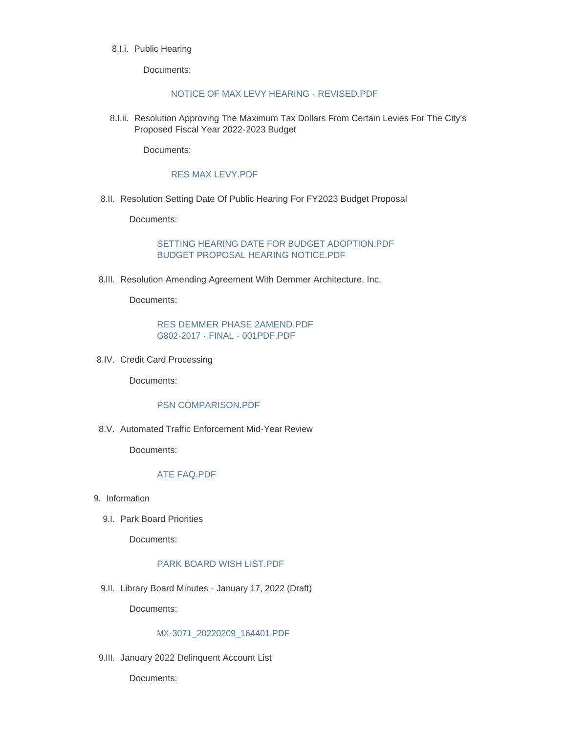#### 8.I.i. Public Hearing

Documents:

## [NOTICE OF MAX LEVY HEARING - REVISED.PDF](http://www.strawberrypt.com/AgendaCenter/ViewFile/Item/458?fileID=491)

8.I.ii. Resolution Approving The Maximum Tax Dollars From Certain Levies For The City's Proposed Fiscal Year 2022-2023 Budget

Documents:

## [RES MAX LEVY.PDF](http://www.strawberrypt.com/AgendaCenter/ViewFile/Item/460?fileID=492)

8.II. Resolution Setting Date Of Public Hearing For FY2023 Budget Proposal

Documents:

[SETTING HEARING DATE FOR BUDGET ADOPTION.PDF](http://www.strawberrypt.com/AgendaCenter/ViewFile/Item/459?fileID=493) [BUDGET PROPOSAL HEARING NOTICE.PDF](http://www.strawberrypt.com/AgendaCenter/ViewFile/Item/459?fileID=494)

8.III. Resolution Amending Agreement With Demmer Architecture, Inc.

Documents:

#### [RES DEMMER PHASE 2AMEND.PDF](http://www.strawberrypt.com/AgendaCenter/ViewFile/Item/575?fileID=497) [G802-2017 - FINAL - 001PDF.PDF](http://www.strawberrypt.com/AgendaCenter/ViewFile/Item/575?fileID=498)

8.IV. Credit Card Processing

Documents:

## [PSN COMPARISON.PDF](http://www.strawberrypt.com/AgendaCenter/ViewFile/Item/578?fileID=501)

8.V. Automated Traffic Enforcement Mid-Year Review

Documents:

## [ATE FAQ.PDF](http://www.strawberrypt.com/AgendaCenter/ViewFile/Item/574?fileID=496)

- 9. Information
	- 9.I. Park Board Priorities

Documents:

## [PARK BOARD WISH LIST.PDF](http://www.strawberrypt.com/AgendaCenter/ViewFile/Item/552?fileID=499)

9.II. Library Board Minutes - January 17, 2022 (Draft)

Documents:

## [MX-3071\\_20220209\\_164401.PDF](http://www.strawberrypt.com/AgendaCenter/ViewFile/Item/569?fileID=487)

9.III. January 2022 Delinquent Account List

Documents: